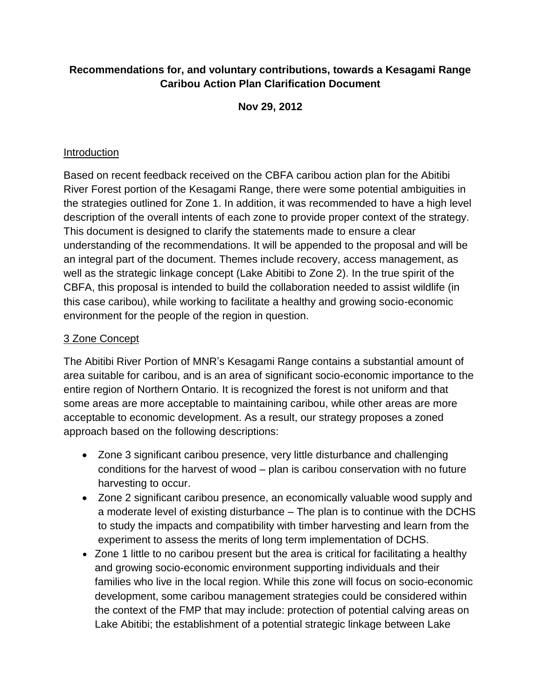## **[Recommendations for, and voluntary contributions, towards a Kesagami Range](http://www.canadianborealforestagreement.com/media-kit/CBFA_NE_Ontario_Recommendations_FullDoc_FINAL.pdf)  [Caribou Action Plan](http://www.canadianborealforestagreement.com/media-kit/CBFA_NE_Ontario_Recommendations_FullDoc_FINAL.pdf) Clarification Document**

**Nov 29, 2012**

## Introduction

Based on recent feedback received on the CBFA caribou action plan for the Abitibi River Forest portion of the Kesagami Range, there were some potential ambiguities in the strategies outlined for Zone 1. In addition, it was recommended to have a high level description of the overall intents of each zone to provide proper context of the strategy. This document is designed to clarify the statements made to ensure a clear understanding of the recommendations. It will be appended to the proposal and will be an integral part of the document. Themes include recovery, access management, as well as the strategic linkage concept (Lake Abitibi to Zone 2). In the true spirit of the CBFA, this proposal is intended to build the collaboration needed to assist wildlife (in this case caribou), while working to facilitate a healthy and growing socio-economic environment for the people of the region in question.

# 3 Zone Concept

The Abitibi River Portion of MNR's Kesagami Range contains a substantial amount of area suitable for caribou, and is an area of significant socio-economic importance to the entire region of Northern Ontario. It is recognized the forest is not uniform and that some areas are more acceptable to maintaining caribou, while other areas are more acceptable to economic development. As a result, our strategy proposes a zoned approach based on the following descriptions:

- Zone 3 significant caribou presence, very little disturbance and challenging conditions for the harvest of wood – plan is caribou conservation with no future harvesting to occur.
- Zone 2 significant caribou presence, an economically valuable wood supply and a moderate level of existing disturbance – The plan is to continue with the DCHS to study the impacts and compatibility with timber harvesting and learn from the experiment to assess the merits of long term implementation of DCHS.
- Zone 1 little to no caribou present but the area is critical for facilitating a healthy and growing socio-economic environment supporting individuals and their families who live in the local region. While this zone will focus on socio-economic development, some caribou management strategies could be considered within the context of the FMP that may include: protection of potential calving areas on Lake Abitibi; the establishment of a potential strategic linkage between Lake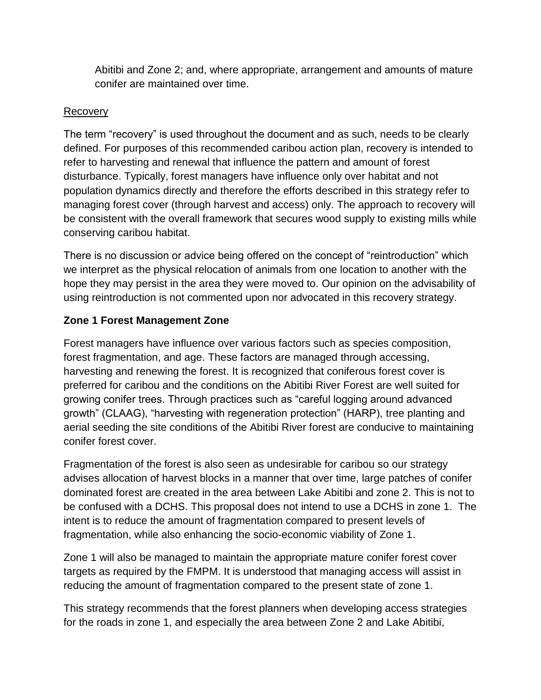Abitibi and Zone 2; and, where appropriate, arrangement and amounts of mature conifer are maintained over time.

### Recovery

The term "recovery" is used throughout the document and as such, needs to be clearly defined. For purposes of this recommended caribou action plan, recovery is intended to refer to harvesting and renewal that influence the pattern and amount of forest disturbance. Typically, forest managers have influence only over habitat and not population dynamics directly and therefore the efforts described in this strategy refer to managing forest cover (through harvest and access) only. The approach to recovery will be consistent with the overall framework that secures wood supply to existing mills while conserving caribou habitat.

There is no discussion or advice being offered on the concept of "reintroduction" which we interpret as the physical relocation of animals from one location to another with the hope they may persist in the area they were moved to. Our opinion on the advisability of using reintroduction is not commented upon nor advocated in this recovery strategy.

# **Zone 1 Forest Management Zone**

Forest managers have influence over various factors such as species composition, forest fragmentation, and age. These factors are managed through accessing, harvesting and renewing the forest. It is recognized that coniferous forest cover is preferred for caribou and the conditions on the Abitibi River Forest are well suited for growing conifer trees. Through practices such as "careful logging around advanced growth" (CLAAG), "harvesting with regeneration protection" (HARP), tree planting and aerial seeding the site conditions of the Abitibi River forest are conducive to maintaining conifer forest cover.

Fragmentation of the forest is also seen as undesirable for caribou so our strategy advises allocation of harvest blocks in a manner that over time, large patches of conifer dominated forest are created in the area between Lake Abitibi and zone 2. This is not to be confused with a DCHS. This proposal does not intend to use a DCHS in zone 1. The intent is to reduce the amount of fragmentation compared to present levels of fragmentation, while also enhancing the socio-economic viability of Zone 1.

Zone 1 will also be managed to maintain the appropriate mature conifer forest cover targets as required by the FMPM. It is understood that managing access will assist in reducing the amount of fragmentation compared to the present state of zone 1.

This strategy recommends that the forest planners when developing access strategies for the roads in zone 1, and especially the area between Zone 2 and Lake Abitibi,